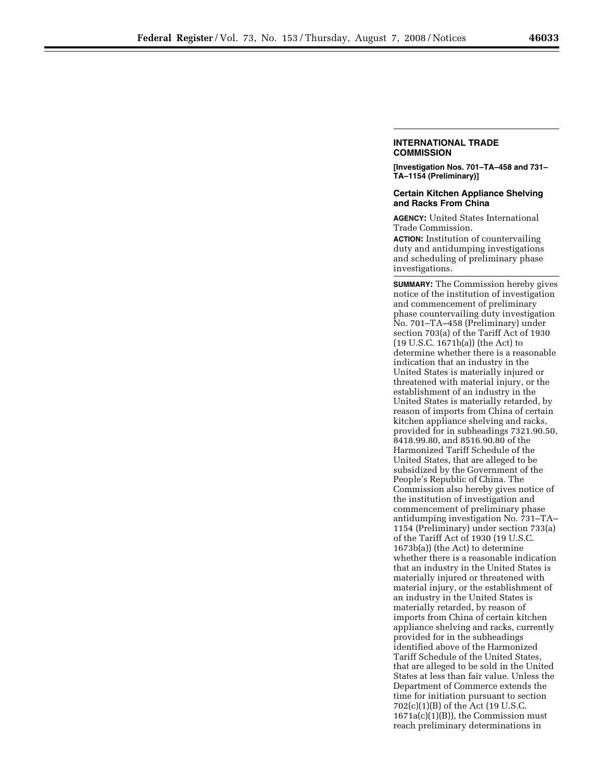## **INTERNATIONAL TRADE COMMISSION**

**[Investigation Nos. 701–TA–458 and 731– TA–1154 (Preliminary)]** 

## **Certain Kitchen Appliance Shelving and Racks From China**

**AGENCY:** United States International Trade Commission.

**ACTION:** Institution of countervailing duty and antidumping investigations and scheduling of preliminary phase investigations.

**SUMMARY:** The Commission hereby gives notice of the institution of investigation and commencement of preliminary phase countervailing duty investigation No. 701–TA–458 (Preliminary) under section 703(a) of the Tariff Act of 1930 (19 U.S.C. 1671b(a)) (the Act) to determine whether there is a reasonable indication that an industry in the United States is materially injured or threatened with material injury, or the establishment of an industry in the United States is materially retarded, by reason of imports from China of certain kitchen appliance shelving and racks, provided for in subheadings 7321.90.50, 8418.99.80, and 8516.90.80 of the Harmonized Tariff Schedule of the United States, that are alleged to be subsidized by the Government of the People's Republic of China. The Commission also hereby gives notice of the institution of investigation and commencement of preliminary phase antidumping investigation No. 731–TA– 1154 (Preliminary) under section 733(a) of the Tariff Act of 1930 (19 U.S.C. 1673b(a)) (the Act) to determine whether there is a reasonable indication that an industry in the United States is materially injured or threatened with material injury, or the establishment of an industry in the United States is materially retarded, by reason of imports from China of certain kitchen appliance shelving and racks, currently provided for in the subheadings identified above of the Harmonized Tariff Schedule of the United States, that are alleged to be sold in the United States at less than fair value. Unless the Department of Commerce extends the time for initiation pursuant to section 702(c)(1)(B) of the Act (19 U.S.C. 1671a(c)(1)(B)), the Commission must reach preliminary determinations in